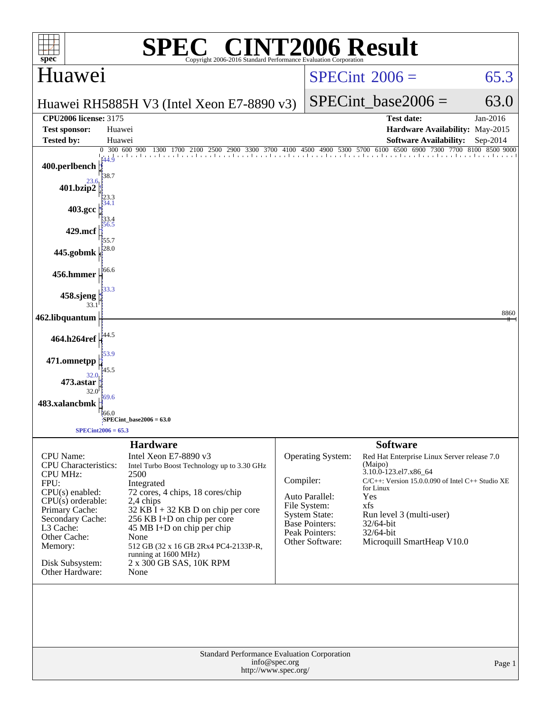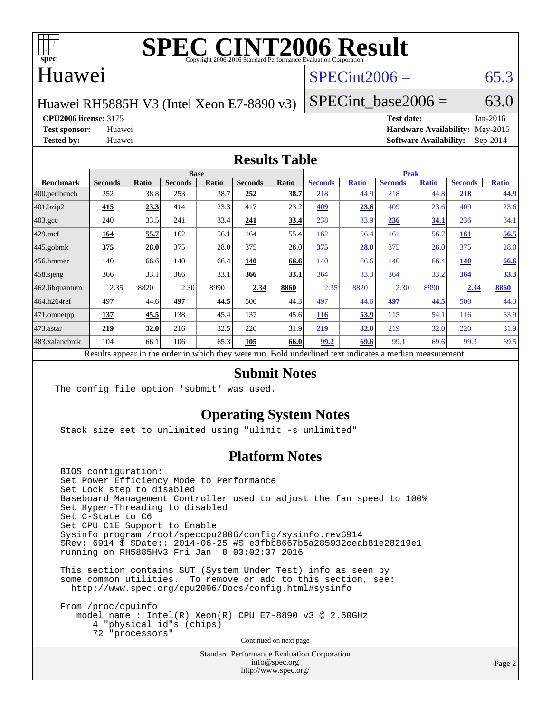

## Huawei

# $SPECint2006 = 65.3$  $SPECint2006 = 65.3$

Huawei RH5885H V3 (Intel Xeon E7-8890 v3)

SPECint base2006 =  $63.0$ 

**[CPU2006 license:](http://www.spec.org/auto/cpu2006/Docs/result-fields.html#CPU2006license)** 3175 **[Test date:](http://www.spec.org/auto/cpu2006/Docs/result-fields.html#Testdate)** Jan-2016

**[Test sponsor:](http://www.spec.org/auto/cpu2006/Docs/result-fields.html#Testsponsor)** Huawei **[Hardware Availability:](http://www.spec.org/auto/cpu2006/Docs/result-fields.html#HardwareAvailability)** May-2015 **[Tested by:](http://www.spec.org/auto/cpu2006/Docs/result-fields.html#Testedby)** Huawei **[Software Availability:](http://www.spec.org/auto/cpu2006/Docs/result-fields.html#SoftwareAvailability)** Sep-2014

### **[Results Table](http://www.spec.org/auto/cpu2006/Docs/result-fields.html#ResultsTable)**

|                                                                                                          | <b>Base</b>    |       |                |       |                | <b>Peak</b> |                |              |                |              |                |              |
|----------------------------------------------------------------------------------------------------------|----------------|-------|----------------|-------|----------------|-------------|----------------|--------------|----------------|--------------|----------------|--------------|
| <b>Benchmark</b>                                                                                         | <b>Seconds</b> | Ratio | <b>Seconds</b> | Ratio | <b>Seconds</b> | Ratio       | <b>Seconds</b> | <b>Ratio</b> | <b>Seconds</b> | <b>Ratio</b> | <b>Seconds</b> | <b>Ratio</b> |
| $ 400$ .perlbench                                                                                        | 252            | 38.8  | 253            | 38.7  | 252            | 38.7        | 218            | 44.9         | 218            | 44.8         | 218            | 44.9         |
| 401.bzip2                                                                                                | 415            | 23.3  | 414            | 23.3  | 417            | 23.2        | 409            | 23.6         | 409            | 23.6         | 409            | 23.6         |
| $403.\mathrm{gcc}$                                                                                       | 240            | 33.5  | 241            | 33.4  | <u>241</u>     | <u>33.4</u> | 238            | 33.9         | 236            | <u>34.1</u>  | 236            | 34.1         |
| $429$ .mcf                                                                                               | 164            | 55.7  | 162            | 56.1  | 164            | 55.4        | 162            | 56.4         | 161            | 56.7         | <b>161</b>     | 56.5         |
| $445$ .gobmk                                                                                             | 375            | 28.0  | 375            | 28.0  | 375            | 28.0        | 375            | 28.0         | 375            | 28.0         | 375            | 28.0         |
| $456.$ hmmer                                                                                             | 140            | 66.6  | 140            | 66.4  | 140            | 66.6        | 140            | 66.6         | 140            | 66.4         | 140            | 66.6         |
| $458$ .sjeng                                                                                             | 366            | 33.1  | 366            | 33.1  | 366            | 33.1        | 364            | 33.3         | 364            | 33.2         | 364            | 33.3         |
| 462.libquantum                                                                                           | 2.35           | 8820  | 2.30           | 8990  | 2.34           | 8860        | 2.35           | 8820         | 2.30           | 8990         | 2.34           | 8860         |
| 464.h264ref                                                                                              | 497            | 44.6  | 497            | 44.5  | 500            | 44.3        | 497            | 44.6         | 497            | 44.5         | 500            | 44.3         |
| 471.omnetpp                                                                                              | 137            | 45.5  | 138            | 45.4  | 137            | 45.6        | <b>116</b>     | 53.9         | 115            | 54.1         | 116            | 53.9         |
| $473.$ astar                                                                                             | 219            | 32.0  | 216            | 32.5  | 220            | 31.9        | 219            | 32.0         | 219            | 32.0         | 220            | 31.9         |
| 483.xalancbmk                                                                                            | 104            | 66.1  | 106            | 65.3  | 105            | 66.0        | 99.2           | 69.6         | 99.1           | 69.6         | 99.3           | 69.5         |
| Results appear in the order in which they were run. Bold underlined text indicates a median measurement. |                |       |                |       |                |             |                |              |                |              |                |              |

### **[Submit Notes](http://www.spec.org/auto/cpu2006/Docs/result-fields.html#SubmitNotes)**

The config file option 'submit' was used.

### **[Operating System Notes](http://www.spec.org/auto/cpu2006/Docs/result-fields.html#OperatingSystemNotes)**

Stack size set to unlimited using "ulimit -s unlimited"

### **[Platform Notes](http://www.spec.org/auto/cpu2006/Docs/result-fields.html#PlatformNotes)**

 BIOS configuration: Set Power Efficiency Mode to Performance Set Lock\_step to disabled Baseboard Management Controller used to adjust the fan speed to 100% Set Hyper-Threading to disabled Set C-State to C6 Set CPU C1E Support to Enable Sysinfo program /root/speccpu2006/config/sysinfo.rev6914 \$Rev: 6914 \$ \$Date:: 2014-06-25 #\$ e3fbb8667b5a285932ceab81e28219e1 running on RH5885HV3 Fri Jan 8 03:02:37 2016

 This section contains SUT (System Under Test) info as seen by some common utilities. To remove or add to this section, see: <http://www.spec.org/cpu2006/Docs/config.html#sysinfo>

 From /proc/cpuinfo model name : Intel(R) Xeon(R) CPU E7-8890 v3 @ 2.50GHz 4 "physical id"s (chips) 72 "processors" Continued on next page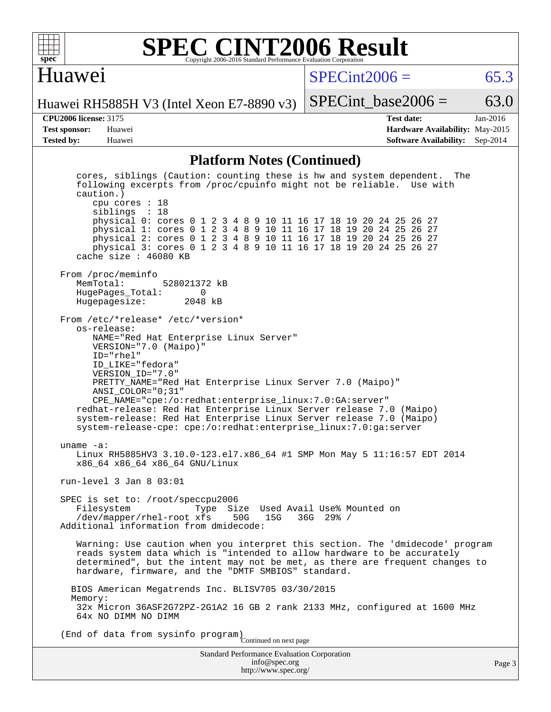

### **[SPEC CINT2006 Result](http://www.spec.org/auto/cpu2006/Docs/result-fields.html#SPECCINT2006Result)** Copyright 2006-2016 Standard Performance Evaluation Corporation

## Huawei

 $SPECint2006 = 65.3$  $SPECint2006 = 65.3$ 

Huawei RH5885H V3 (Intel Xeon E7-8890 v3)

**[CPU2006 license:](http://www.spec.org/auto/cpu2006/Docs/result-fields.html#CPU2006license)** 3175 **[Test date:](http://www.spec.org/auto/cpu2006/Docs/result-fields.html#Testdate)** Jan-2016 **[Test sponsor:](http://www.spec.org/auto/cpu2006/Docs/result-fields.html#Testsponsor)** Huawei **[Hardware Availability:](http://www.spec.org/auto/cpu2006/Docs/result-fields.html#HardwareAvailability)** May-2015 **[Tested by:](http://www.spec.org/auto/cpu2006/Docs/result-fields.html#Testedby)** Huawei **[Software Availability:](http://www.spec.org/auto/cpu2006/Docs/result-fields.html#SoftwareAvailability)** Sep-2014

SPECint base2006 =  $63.0$ 

### **[Platform Notes \(Continued\)](http://www.spec.org/auto/cpu2006/Docs/result-fields.html#PlatformNotes)**

Standard Performance Evaluation Corporation cores, siblings (Caution: counting these is hw and system dependent. The following excerpts from /proc/cpuinfo might not be reliable. Use with caution.) cpu cores : 18 siblings : 18 physical 0: cores 0 1 2 3 4 8 9 10 11 16 17 18 19 20 24 25 26 27 physical 1: cores 0 1 2 3 4 8 9 10 11 16 17 18 19 20 24 25 26 27 physical 2: cores 0 1 2 3 4 8 9 10 11 16 17 18 19 20 24 25 26 27 physical 3: cores 0 1 2 3 4 8 9 10 11 16 17 18 19 20 24 25 26 27 cache size : 46080 KB From /proc/meminfo MemTotal: 528021372 kB<br>HugePages Total: 0 HugePages\_Total: 0<br>Hugepagesize: 2048 kB Hugepagesize: From /etc/\*release\* /etc/\*version\* os-release: NAME="Red Hat Enterprise Linux Server" VERSION="7.0 (Maipo)" ID="rhel" ID\_LIKE="fedora" VERSION\_ID="7.0" PRETTY\_NAME="Red Hat Enterprise Linux Server 7.0 (Maipo)" ANSI\_COLOR="0;31" CPE\_NAME="cpe:/o:redhat:enterprise\_linux:7.0:GA:server" redhat-release: Red Hat Enterprise Linux Server release 7.0 (Maipo) system-release: Red Hat Enterprise Linux Server release 7.0 (Maipo) system-release-cpe: cpe:/o:redhat:enterprise\_linux:7.0:ga:server uname -a: Linux RH5885HV3 3.10.0-123.el7.x86\_64 #1 SMP Mon May 5 11:16:57 EDT 2014 x86\_64 x86\_64 x86\_64 GNU/Linux run-level 3 Jan 8 03:01 SPEC is set to: /root/speccpu2006<br>Filesystem Type Si Type Size Used Avail Use% Mounted on<br>xfs 50G 15G 36G 29% / /dev/mapper/rhel-root xfs Additional information from dmidecode: Warning: Use caution when you interpret this section. The 'dmidecode' program reads system data which is "intended to allow hardware to be accurately determined", but the intent may not be met, as there are frequent changes to hardware, firmware, and the "DMTF SMBIOS" standard. BIOS American Megatrends Inc. BLISV705 03/30/2015 Memory: 32x Micron 36ASF2G72PZ-2G1A2 16 GB 2 rank 2133 MHz, configured at 1600 MHz 64x NO DIMM NO DIMM (End of data from sysinfo program) Continued on next page

> [info@spec.org](mailto:info@spec.org) <http://www.spec.org/>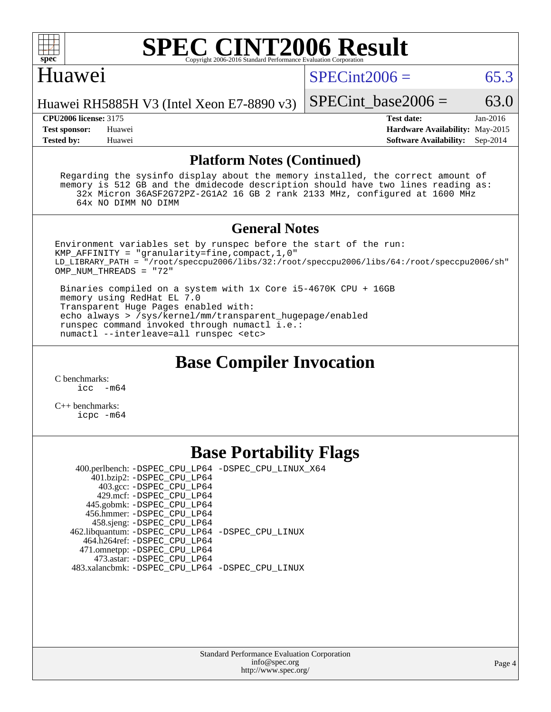

### **[SPEC CINT2006 Result](http://www.spec.org/auto/cpu2006/Docs/result-fields.html#SPECCINT2006Result)** Copyright 2006-2016 Standard Performance Evaluation C

## Huawei

 $SPECint2006 = 65.3$  $SPECint2006 = 65.3$ 

Huawei RH5885H V3 (Intel Xeon E7-8890 v3)

**[CPU2006 license:](http://www.spec.org/auto/cpu2006/Docs/result-fields.html#CPU2006license)** 3175 **[Test date:](http://www.spec.org/auto/cpu2006/Docs/result-fields.html#Testdate)** Jan-2016 **[Test sponsor:](http://www.spec.org/auto/cpu2006/Docs/result-fields.html#Testsponsor)** Huawei **[Hardware Availability:](http://www.spec.org/auto/cpu2006/Docs/result-fields.html#HardwareAvailability)** May-2015 **[Tested by:](http://www.spec.org/auto/cpu2006/Docs/result-fields.html#Testedby)** Huawei **[Software Availability:](http://www.spec.org/auto/cpu2006/Docs/result-fields.html#SoftwareAvailability)** Sep-2014

SPECint base2006 =  $63.0$ 

### **[Platform Notes \(Continued\)](http://www.spec.org/auto/cpu2006/Docs/result-fields.html#PlatformNotes)**

 Regarding the sysinfo display about the memory installed, the correct amount of memory is 512 GB and the dmidecode description should have two lines reading as: 32x Micron 36ASF2G72PZ-2G1A2 16 GB 2 rank 2133 MHz, configured at 1600 MHz 64x NO DIMM NO DIMM

### **[General Notes](http://www.spec.org/auto/cpu2006/Docs/result-fields.html#GeneralNotes)**

Environment variables set by runspec before the start of the run: KMP\_AFFINITY = "granularity=fine,compact,1,0" LD\_LIBRARY\_PATH = "/root/speccpu2006/libs/32:/root/speccpu2006/libs/64:/root/speccpu2006/sh" OMP\_NUM\_THREADS = "72"

 Binaries compiled on a system with 1x Core i5-4670K CPU + 16GB memory using RedHat EL 7.0 Transparent Huge Pages enabled with: echo always > /sys/kernel/mm/transparent\_hugepage/enabled runspec command invoked through numactl i.e.: numactl --interleave=all runspec <etc>

# **[Base Compiler Invocation](http://www.spec.org/auto/cpu2006/Docs/result-fields.html#BaseCompilerInvocation)**

[C benchmarks](http://www.spec.org/auto/cpu2006/Docs/result-fields.html#Cbenchmarks):  $\text{icc}$   $-\text{m64}$ 

[C++ benchmarks:](http://www.spec.org/auto/cpu2006/Docs/result-fields.html#CXXbenchmarks) [icpc -m64](http://www.spec.org/cpu2006/results/res2016q1/cpu2006-20160110-38637.flags.html#user_CXXbase_intel_icpc_64bit_fc66a5337ce925472a5c54ad6a0de310)

# **[Base Portability Flags](http://www.spec.org/auto/cpu2006/Docs/result-fields.html#BasePortabilityFlags)**

 400.perlbench: [-DSPEC\\_CPU\\_LP64](http://www.spec.org/cpu2006/results/res2016q1/cpu2006-20160110-38637.flags.html#b400.perlbench_basePORTABILITY_DSPEC_CPU_LP64) [-DSPEC\\_CPU\\_LINUX\\_X64](http://www.spec.org/cpu2006/results/res2016q1/cpu2006-20160110-38637.flags.html#b400.perlbench_baseCPORTABILITY_DSPEC_CPU_LINUX_X64) 401.bzip2: [-DSPEC\\_CPU\\_LP64](http://www.spec.org/cpu2006/results/res2016q1/cpu2006-20160110-38637.flags.html#suite_basePORTABILITY401_bzip2_DSPEC_CPU_LP64) 403.gcc: [-DSPEC\\_CPU\\_LP64](http://www.spec.org/cpu2006/results/res2016q1/cpu2006-20160110-38637.flags.html#suite_basePORTABILITY403_gcc_DSPEC_CPU_LP64) 429.mcf: [-DSPEC\\_CPU\\_LP64](http://www.spec.org/cpu2006/results/res2016q1/cpu2006-20160110-38637.flags.html#suite_basePORTABILITY429_mcf_DSPEC_CPU_LP64) 445.gobmk: [-DSPEC\\_CPU\\_LP64](http://www.spec.org/cpu2006/results/res2016q1/cpu2006-20160110-38637.flags.html#suite_basePORTABILITY445_gobmk_DSPEC_CPU_LP64) 456.hmmer: [-DSPEC\\_CPU\\_LP64](http://www.spec.org/cpu2006/results/res2016q1/cpu2006-20160110-38637.flags.html#suite_basePORTABILITY456_hmmer_DSPEC_CPU_LP64) 458.sjeng: [-DSPEC\\_CPU\\_LP64](http://www.spec.org/cpu2006/results/res2016q1/cpu2006-20160110-38637.flags.html#suite_basePORTABILITY458_sjeng_DSPEC_CPU_LP64) 462.libquantum: [-DSPEC\\_CPU\\_LP64](http://www.spec.org/cpu2006/results/res2016q1/cpu2006-20160110-38637.flags.html#suite_basePORTABILITY462_libquantum_DSPEC_CPU_LP64) [-DSPEC\\_CPU\\_LINUX](http://www.spec.org/cpu2006/results/res2016q1/cpu2006-20160110-38637.flags.html#b462.libquantum_baseCPORTABILITY_DSPEC_CPU_LINUX) 464.h264ref: [-DSPEC\\_CPU\\_LP64](http://www.spec.org/cpu2006/results/res2016q1/cpu2006-20160110-38637.flags.html#suite_basePORTABILITY464_h264ref_DSPEC_CPU_LP64) 471.omnetpp: [-DSPEC\\_CPU\\_LP64](http://www.spec.org/cpu2006/results/res2016q1/cpu2006-20160110-38637.flags.html#suite_basePORTABILITY471_omnetpp_DSPEC_CPU_LP64) 473.astar: [-DSPEC\\_CPU\\_LP64](http://www.spec.org/cpu2006/results/res2016q1/cpu2006-20160110-38637.flags.html#suite_basePORTABILITY473_astar_DSPEC_CPU_LP64) 483.xalancbmk: [-DSPEC\\_CPU\\_LP64](http://www.spec.org/cpu2006/results/res2016q1/cpu2006-20160110-38637.flags.html#suite_basePORTABILITY483_xalancbmk_DSPEC_CPU_LP64) [-DSPEC\\_CPU\\_LINUX](http://www.spec.org/cpu2006/results/res2016q1/cpu2006-20160110-38637.flags.html#b483.xalancbmk_baseCXXPORTABILITY_DSPEC_CPU_LINUX)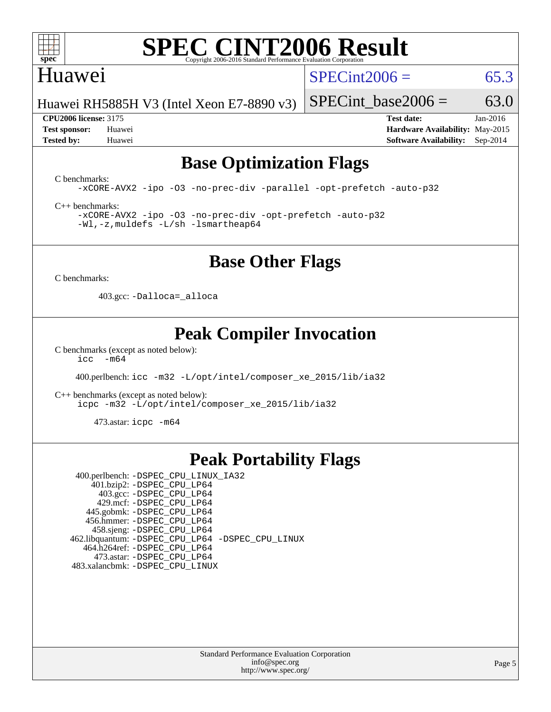

# Huawei

 $SPECint2006 = 65.3$  $SPECint2006 = 65.3$ 

Huawei RH5885H V3 (Intel Xeon E7-8890 v3)

**[CPU2006 license:](http://www.spec.org/auto/cpu2006/Docs/result-fields.html#CPU2006license)** 3175 **[Test date:](http://www.spec.org/auto/cpu2006/Docs/result-fields.html#Testdate)** Jan-2016

SPECint base2006 =  $63.0$ 

**[Test sponsor:](http://www.spec.org/auto/cpu2006/Docs/result-fields.html#Testsponsor)** Huawei **[Hardware Availability:](http://www.spec.org/auto/cpu2006/Docs/result-fields.html#HardwareAvailability)** May-2015 **[Tested by:](http://www.spec.org/auto/cpu2006/Docs/result-fields.html#Testedby)** Huawei **[Software Availability:](http://www.spec.org/auto/cpu2006/Docs/result-fields.html#SoftwareAvailability)** Sep-2014

# **[Base Optimization Flags](http://www.spec.org/auto/cpu2006/Docs/result-fields.html#BaseOptimizationFlags)**

[C benchmarks](http://www.spec.org/auto/cpu2006/Docs/result-fields.html#Cbenchmarks):

[-xCORE-AVX2](http://www.spec.org/cpu2006/results/res2016q1/cpu2006-20160110-38637.flags.html#user_CCbase_f-xAVX2_5f5fc0cbe2c9f62c816d3e45806c70d7) [-ipo](http://www.spec.org/cpu2006/results/res2016q1/cpu2006-20160110-38637.flags.html#user_CCbase_f-ipo) [-O3](http://www.spec.org/cpu2006/results/res2016q1/cpu2006-20160110-38637.flags.html#user_CCbase_f-O3) [-no-prec-div](http://www.spec.org/cpu2006/results/res2016q1/cpu2006-20160110-38637.flags.html#user_CCbase_f-no-prec-div) [-parallel](http://www.spec.org/cpu2006/results/res2016q1/cpu2006-20160110-38637.flags.html#user_CCbase_f-parallel) [-opt-prefetch](http://www.spec.org/cpu2006/results/res2016q1/cpu2006-20160110-38637.flags.html#user_CCbase_f-opt-prefetch) [-auto-p32](http://www.spec.org/cpu2006/results/res2016q1/cpu2006-20160110-38637.flags.html#user_CCbase_f-auto-p32)

[C++ benchmarks:](http://www.spec.org/auto/cpu2006/Docs/result-fields.html#CXXbenchmarks)

[-xCORE-AVX2](http://www.spec.org/cpu2006/results/res2016q1/cpu2006-20160110-38637.flags.html#user_CXXbase_f-xAVX2_5f5fc0cbe2c9f62c816d3e45806c70d7) [-ipo](http://www.spec.org/cpu2006/results/res2016q1/cpu2006-20160110-38637.flags.html#user_CXXbase_f-ipo) [-O3](http://www.spec.org/cpu2006/results/res2016q1/cpu2006-20160110-38637.flags.html#user_CXXbase_f-O3) [-no-prec-div](http://www.spec.org/cpu2006/results/res2016q1/cpu2006-20160110-38637.flags.html#user_CXXbase_f-no-prec-div) [-opt-prefetch](http://www.spec.org/cpu2006/results/res2016q1/cpu2006-20160110-38637.flags.html#user_CXXbase_f-opt-prefetch) [-auto-p32](http://www.spec.org/cpu2006/results/res2016q1/cpu2006-20160110-38637.flags.html#user_CXXbase_f-auto-p32) [-Wl,-z,muldefs](http://www.spec.org/cpu2006/results/res2016q1/cpu2006-20160110-38637.flags.html#user_CXXbase_link_force_multiple1_74079c344b956b9658436fd1b6dd3a8a) [-L/sh -lsmartheap64](http://www.spec.org/cpu2006/results/res2016q1/cpu2006-20160110-38637.flags.html#user_CXXbase_SmartHeap64_ed4ef857ce90951921efb0d91eb88472)

# **[Base Other Flags](http://www.spec.org/auto/cpu2006/Docs/result-fields.html#BaseOtherFlags)**

[C benchmarks](http://www.spec.org/auto/cpu2006/Docs/result-fields.html#Cbenchmarks):

403.gcc: [-Dalloca=\\_alloca](http://www.spec.org/cpu2006/results/res2016q1/cpu2006-20160110-38637.flags.html#b403.gcc_baseEXTRA_CFLAGS_Dalloca_be3056838c12de2578596ca5467af7f3)

# **[Peak Compiler Invocation](http://www.spec.org/auto/cpu2006/Docs/result-fields.html#PeakCompilerInvocation)**

[C benchmarks \(except as noted below\)](http://www.spec.org/auto/cpu2006/Docs/result-fields.html#Cbenchmarksexceptasnotedbelow): [icc -m64](http://www.spec.org/cpu2006/results/res2016q1/cpu2006-20160110-38637.flags.html#user_CCpeak_intel_icc_64bit_f346026e86af2a669e726fe758c88044)

400.perlbench: [icc -m32 -L/opt/intel/composer\\_xe\\_2015/lib/ia32](http://www.spec.org/cpu2006/results/res2016q1/cpu2006-20160110-38637.flags.html#user_peakCCLD400_perlbench_intel_icc_011b86df29f8c679b747245588698a4d)

[C++ benchmarks \(except as noted below\):](http://www.spec.org/auto/cpu2006/Docs/result-fields.html#CXXbenchmarksexceptasnotedbelow) [icpc -m32 -L/opt/intel/composer\\_xe\\_2015/lib/ia32](http://www.spec.org/cpu2006/results/res2016q1/cpu2006-20160110-38637.flags.html#user_CXXpeak_intel_icpc_c2c99686a1a582c3e0de0b4806b02cea)

473.astar: [icpc -m64](http://www.spec.org/cpu2006/results/res2016q1/cpu2006-20160110-38637.flags.html#user_peakCXXLD473_astar_intel_icpc_64bit_fc66a5337ce925472a5c54ad6a0de310)

# **[Peak Portability Flags](http://www.spec.org/auto/cpu2006/Docs/result-fields.html#PeakPortabilityFlags)**

 400.perlbench: [-DSPEC\\_CPU\\_LINUX\\_IA32](http://www.spec.org/cpu2006/results/res2016q1/cpu2006-20160110-38637.flags.html#b400.perlbench_peakCPORTABILITY_DSPEC_CPU_LINUX_IA32) 401.bzip2: [-DSPEC\\_CPU\\_LP64](http://www.spec.org/cpu2006/results/res2016q1/cpu2006-20160110-38637.flags.html#suite_peakPORTABILITY401_bzip2_DSPEC_CPU_LP64) 403.gcc: [-DSPEC\\_CPU\\_LP64](http://www.spec.org/cpu2006/results/res2016q1/cpu2006-20160110-38637.flags.html#suite_peakPORTABILITY403_gcc_DSPEC_CPU_LP64) 429.mcf: [-DSPEC\\_CPU\\_LP64](http://www.spec.org/cpu2006/results/res2016q1/cpu2006-20160110-38637.flags.html#suite_peakPORTABILITY429_mcf_DSPEC_CPU_LP64) 445.gobmk: [-DSPEC\\_CPU\\_LP64](http://www.spec.org/cpu2006/results/res2016q1/cpu2006-20160110-38637.flags.html#suite_peakPORTABILITY445_gobmk_DSPEC_CPU_LP64) 456.hmmer: [-DSPEC\\_CPU\\_LP64](http://www.spec.org/cpu2006/results/res2016q1/cpu2006-20160110-38637.flags.html#suite_peakPORTABILITY456_hmmer_DSPEC_CPU_LP64) 458.sjeng: [-DSPEC\\_CPU\\_LP64](http://www.spec.org/cpu2006/results/res2016q1/cpu2006-20160110-38637.flags.html#suite_peakPORTABILITY458_sjeng_DSPEC_CPU_LP64) 462.libquantum: [-DSPEC\\_CPU\\_LP64](http://www.spec.org/cpu2006/results/res2016q1/cpu2006-20160110-38637.flags.html#suite_peakPORTABILITY462_libquantum_DSPEC_CPU_LP64) [-DSPEC\\_CPU\\_LINUX](http://www.spec.org/cpu2006/results/res2016q1/cpu2006-20160110-38637.flags.html#b462.libquantum_peakCPORTABILITY_DSPEC_CPU_LINUX) 464.h264ref: [-DSPEC\\_CPU\\_LP64](http://www.spec.org/cpu2006/results/res2016q1/cpu2006-20160110-38637.flags.html#suite_peakPORTABILITY464_h264ref_DSPEC_CPU_LP64) 473.astar: [-DSPEC\\_CPU\\_LP64](http://www.spec.org/cpu2006/results/res2016q1/cpu2006-20160110-38637.flags.html#suite_peakPORTABILITY473_astar_DSPEC_CPU_LP64) 483.xalancbmk: [-DSPEC\\_CPU\\_LINUX](http://www.spec.org/cpu2006/results/res2016q1/cpu2006-20160110-38637.flags.html#b483.xalancbmk_peakCXXPORTABILITY_DSPEC_CPU_LINUX)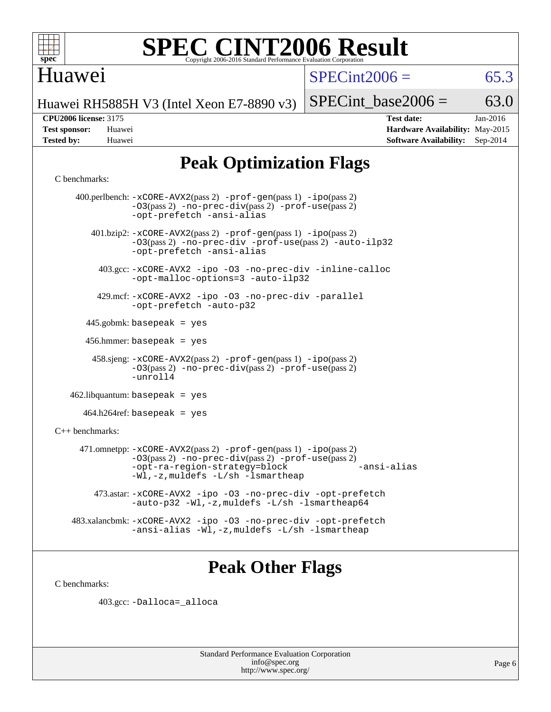

# Huawei

 $SPECint2006 = 65.3$  $SPECint2006 = 65.3$ 

Huawei RH5885H V3 (Intel Xeon E7-8890 v3)

SPECint base2006 =  $63.0$ 

**[CPU2006 license:](http://www.spec.org/auto/cpu2006/Docs/result-fields.html#CPU2006license)** 3175 **[Test date:](http://www.spec.org/auto/cpu2006/Docs/result-fields.html#Testdate)** Jan-2016 **[Test sponsor:](http://www.spec.org/auto/cpu2006/Docs/result-fields.html#Testsponsor)** Huawei **[Hardware Availability:](http://www.spec.org/auto/cpu2006/Docs/result-fields.html#HardwareAvailability)** May-2015 **[Tested by:](http://www.spec.org/auto/cpu2006/Docs/result-fields.html#Testedby)** Huawei **[Software Availability:](http://www.spec.org/auto/cpu2006/Docs/result-fields.html#SoftwareAvailability)** Sep-2014

# **[Peak Optimization Flags](http://www.spec.org/auto/cpu2006/Docs/result-fields.html#PeakOptimizationFlags)**

### [C benchmarks](http://www.spec.org/auto/cpu2006/Docs/result-fields.html#Cbenchmarks):

 400.perlbench: [-xCORE-AVX2](http://www.spec.org/cpu2006/results/res2016q1/cpu2006-20160110-38637.flags.html#user_peakPASS2_CFLAGSPASS2_LDCFLAGS400_perlbench_f-xAVX2_5f5fc0cbe2c9f62c816d3e45806c70d7)(pass 2) [-prof-gen](http://www.spec.org/cpu2006/results/res2016q1/cpu2006-20160110-38637.flags.html#user_peakPASS1_CFLAGSPASS1_LDCFLAGS400_perlbench_prof_gen_e43856698f6ca7b7e442dfd80e94a8fc)(pass 1) [-ipo](http://www.spec.org/cpu2006/results/res2016q1/cpu2006-20160110-38637.flags.html#user_peakPASS2_CFLAGSPASS2_LDCFLAGS400_perlbench_f-ipo)(pass 2) [-O3](http://www.spec.org/cpu2006/results/res2016q1/cpu2006-20160110-38637.flags.html#user_peakPASS2_CFLAGSPASS2_LDCFLAGS400_perlbench_f-O3)(pass 2) [-no-prec-div](http://www.spec.org/cpu2006/results/res2016q1/cpu2006-20160110-38637.flags.html#user_peakPASS2_CFLAGSPASS2_LDCFLAGS400_perlbench_f-no-prec-div)(pass 2) [-prof-use](http://www.spec.org/cpu2006/results/res2016q1/cpu2006-20160110-38637.flags.html#user_peakPASS2_CFLAGSPASS2_LDCFLAGS400_perlbench_prof_use_bccf7792157ff70d64e32fe3e1250b55)(pass 2) [-opt-prefetch](http://www.spec.org/cpu2006/results/res2016q1/cpu2006-20160110-38637.flags.html#user_peakCOPTIMIZE400_perlbench_f-opt-prefetch) [-ansi-alias](http://www.spec.org/cpu2006/results/res2016q1/cpu2006-20160110-38637.flags.html#user_peakCOPTIMIZE400_perlbench_f-ansi-alias) 401.bzip2: [-xCORE-AVX2](http://www.spec.org/cpu2006/results/res2016q1/cpu2006-20160110-38637.flags.html#user_peakPASS2_CFLAGSPASS2_LDCFLAGS401_bzip2_f-xAVX2_5f5fc0cbe2c9f62c816d3e45806c70d7)(pass 2) [-prof-gen](http://www.spec.org/cpu2006/results/res2016q1/cpu2006-20160110-38637.flags.html#user_peakPASS1_CFLAGSPASS1_LDCFLAGS401_bzip2_prof_gen_e43856698f6ca7b7e442dfd80e94a8fc)(pass 1) [-ipo](http://www.spec.org/cpu2006/results/res2016q1/cpu2006-20160110-38637.flags.html#user_peakPASS2_CFLAGSPASS2_LDCFLAGS401_bzip2_f-ipo)(pass 2) [-O3](http://www.spec.org/cpu2006/results/res2016q1/cpu2006-20160110-38637.flags.html#user_peakPASS2_CFLAGSPASS2_LDCFLAGS401_bzip2_f-O3)(pass 2) [-no-prec-div](http://www.spec.org/cpu2006/results/res2016q1/cpu2006-20160110-38637.flags.html#user_peakCOPTIMIZEPASS2_CFLAGSPASS2_LDCFLAGS401_bzip2_f-no-prec-div) [-prof-use](http://www.spec.org/cpu2006/results/res2016q1/cpu2006-20160110-38637.flags.html#user_peakPASS2_CFLAGSPASS2_LDCFLAGS401_bzip2_prof_use_bccf7792157ff70d64e32fe3e1250b55)(pass 2) [-auto-ilp32](http://www.spec.org/cpu2006/results/res2016q1/cpu2006-20160110-38637.flags.html#user_peakCOPTIMIZE401_bzip2_f-auto-ilp32) [-opt-prefetch](http://www.spec.org/cpu2006/results/res2016q1/cpu2006-20160110-38637.flags.html#user_peakCOPTIMIZE401_bzip2_f-opt-prefetch) [-ansi-alias](http://www.spec.org/cpu2006/results/res2016q1/cpu2006-20160110-38637.flags.html#user_peakCOPTIMIZE401_bzip2_f-ansi-alias) 403.gcc: [-xCORE-AVX2](http://www.spec.org/cpu2006/results/res2016q1/cpu2006-20160110-38637.flags.html#user_peakCOPTIMIZE403_gcc_f-xAVX2_5f5fc0cbe2c9f62c816d3e45806c70d7) [-ipo](http://www.spec.org/cpu2006/results/res2016q1/cpu2006-20160110-38637.flags.html#user_peakCOPTIMIZE403_gcc_f-ipo) [-O3](http://www.spec.org/cpu2006/results/res2016q1/cpu2006-20160110-38637.flags.html#user_peakCOPTIMIZE403_gcc_f-O3) [-no-prec-div](http://www.spec.org/cpu2006/results/res2016q1/cpu2006-20160110-38637.flags.html#user_peakCOPTIMIZE403_gcc_f-no-prec-div) [-inline-calloc](http://www.spec.org/cpu2006/results/res2016q1/cpu2006-20160110-38637.flags.html#user_peakCOPTIMIZE403_gcc_f-inline-calloc) [-opt-malloc-options=3](http://www.spec.org/cpu2006/results/res2016q1/cpu2006-20160110-38637.flags.html#user_peakCOPTIMIZE403_gcc_f-opt-malloc-options_13ab9b803cf986b4ee62f0a5998c2238) [-auto-ilp32](http://www.spec.org/cpu2006/results/res2016q1/cpu2006-20160110-38637.flags.html#user_peakCOPTIMIZE403_gcc_f-auto-ilp32) 429.mcf: [-xCORE-AVX2](http://www.spec.org/cpu2006/results/res2016q1/cpu2006-20160110-38637.flags.html#user_peakCOPTIMIZE429_mcf_f-xAVX2_5f5fc0cbe2c9f62c816d3e45806c70d7) [-ipo](http://www.spec.org/cpu2006/results/res2016q1/cpu2006-20160110-38637.flags.html#user_peakCOPTIMIZE429_mcf_f-ipo) [-O3](http://www.spec.org/cpu2006/results/res2016q1/cpu2006-20160110-38637.flags.html#user_peakCOPTIMIZE429_mcf_f-O3) [-no-prec-div](http://www.spec.org/cpu2006/results/res2016q1/cpu2006-20160110-38637.flags.html#user_peakCOPTIMIZE429_mcf_f-no-prec-div) [-parallel](http://www.spec.org/cpu2006/results/res2016q1/cpu2006-20160110-38637.flags.html#user_peakCOPTIMIZE429_mcf_f-parallel) [-opt-prefetch](http://www.spec.org/cpu2006/results/res2016q1/cpu2006-20160110-38637.flags.html#user_peakCOPTIMIZE429_mcf_f-opt-prefetch) [-auto-p32](http://www.spec.org/cpu2006/results/res2016q1/cpu2006-20160110-38637.flags.html#user_peakCOPTIMIZE429_mcf_f-auto-p32) 445.gobmk: basepeak = yes 456.hmmer: basepeak = yes 458.sjeng: [-xCORE-AVX2](http://www.spec.org/cpu2006/results/res2016q1/cpu2006-20160110-38637.flags.html#user_peakPASS2_CFLAGSPASS2_LDCFLAGS458_sjeng_f-xAVX2_5f5fc0cbe2c9f62c816d3e45806c70d7)(pass 2) [-prof-gen](http://www.spec.org/cpu2006/results/res2016q1/cpu2006-20160110-38637.flags.html#user_peakPASS1_CFLAGSPASS1_LDCFLAGS458_sjeng_prof_gen_e43856698f6ca7b7e442dfd80e94a8fc)(pass 1) [-ipo](http://www.spec.org/cpu2006/results/res2016q1/cpu2006-20160110-38637.flags.html#user_peakPASS2_CFLAGSPASS2_LDCFLAGS458_sjeng_f-ipo)(pass 2) [-O3](http://www.spec.org/cpu2006/results/res2016q1/cpu2006-20160110-38637.flags.html#user_peakPASS2_CFLAGSPASS2_LDCFLAGS458_sjeng_f-O3)(pass 2) [-no-prec-div](http://www.spec.org/cpu2006/results/res2016q1/cpu2006-20160110-38637.flags.html#user_peakPASS2_CFLAGSPASS2_LDCFLAGS458_sjeng_f-no-prec-div)(pass 2) [-prof-use](http://www.spec.org/cpu2006/results/res2016q1/cpu2006-20160110-38637.flags.html#user_peakPASS2_CFLAGSPASS2_LDCFLAGS458_sjeng_prof_use_bccf7792157ff70d64e32fe3e1250b55)(pass 2) [-unroll4](http://www.spec.org/cpu2006/results/res2016q1/cpu2006-20160110-38637.flags.html#user_peakCOPTIMIZE458_sjeng_f-unroll_4e5e4ed65b7fd20bdcd365bec371b81f)  $462$ .libquantum: basepeak = yes  $464.h264$ ref: basepeak = yes [C++ benchmarks:](http://www.spec.org/auto/cpu2006/Docs/result-fields.html#CXXbenchmarks) 471.omnetpp: [-xCORE-AVX2](http://www.spec.org/cpu2006/results/res2016q1/cpu2006-20160110-38637.flags.html#user_peakPASS2_CXXFLAGSPASS2_LDCXXFLAGS471_omnetpp_f-xAVX2_5f5fc0cbe2c9f62c816d3e45806c70d7)(pass 2) [-prof-gen](http://www.spec.org/cpu2006/results/res2016q1/cpu2006-20160110-38637.flags.html#user_peakPASS1_CXXFLAGSPASS1_LDCXXFLAGS471_omnetpp_prof_gen_e43856698f6ca7b7e442dfd80e94a8fc)(pass 1) [-ipo](http://www.spec.org/cpu2006/results/res2016q1/cpu2006-20160110-38637.flags.html#user_peakPASS2_CXXFLAGSPASS2_LDCXXFLAGS471_omnetpp_f-ipo)(pass 2) [-O3](http://www.spec.org/cpu2006/results/res2016q1/cpu2006-20160110-38637.flags.html#user_peakPASS2_CXXFLAGSPASS2_LDCXXFLAGS471_omnetpp_f-O3)(pass 2) [-no-prec-div](http://www.spec.org/cpu2006/results/res2016q1/cpu2006-20160110-38637.flags.html#user_peakPASS2_CXXFLAGSPASS2_LDCXXFLAGS471_omnetpp_f-no-prec-div)(pass 2) [-prof-use](http://www.spec.org/cpu2006/results/res2016q1/cpu2006-20160110-38637.flags.html#user_peakPASS2_CXXFLAGSPASS2_LDCXXFLAGS471_omnetpp_prof_use_bccf7792157ff70d64e32fe3e1250b55)(pass 2) [-opt-ra-region-strategy=block](http://www.spec.org/cpu2006/results/res2016q1/cpu2006-20160110-38637.flags.html#user_peakCXXOPTIMIZE471_omnetpp_f-opt-ra-region-strategy_5382940c29ea30302d682fc74bfe0147) [-ansi-alias](http://www.spec.org/cpu2006/results/res2016q1/cpu2006-20160110-38637.flags.html#user_peakCXXOPTIMIZE471_omnetpp_f-ansi-alias) [-Wl,-z,muldefs](http://www.spec.org/cpu2006/results/res2016q1/cpu2006-20160110-38637.flags.html#user_peakEXTRA_LDFLAGS471_omnetpp_link_force_multiple1_74079c344b956b9658436fd1b6dd3a8a) [-L/sh -lsmartheap](http://www.spec.org/cpu2006/results/res2016q1/cpu2006-20160110-38637.flags.html#user_peakEXTRA_LIBS471_omnetpp_SmartHeap_32f6c82aa1ed9c52345d30cf6e4a0499) 473.astar: [-xCORE-AVX2](http://www.spec.org/cpu2006/results/res2016q1/cpu2006-20160110-38637.flags.html#user_peakCXXOPTIMIZE473_astar_f-xAVX2_5f5fc0cbe2c9f62c816d3e45806c70d7) [-ipo](http://www.spec.org/cpu2006/results/res2016q1/cpu2006-20160110-38637.flags.html#user_peakCXXOPTIMIZE473_astar_f-ipo) [-O3](http://www.spec.org/cpu2006/results/res2016q1/cpu2006-20160110-38637.flags.html#user_peakCXXOPTIMIZE473_astar_f-O3) [-no-prec-div](http://www.spec.org/cpu2006/results/res2016q1/cpu2006-20160110-38637.flags.html#user_peakCXXOPTIMIZE473_astar_f-no-prec-div) [-opt-prefetch](http://www.spec.org/cpu2006/results/res2016q1/cpu2006-20160110-38637.flags.html#user_peakCXXOPTIMIZE473_astar_f-opt-prefetch) [-auto-p32](http://www.spec.org/cpu2006/results/res2016q1/cpu2006-20160110-38637.flags.html#user_peakCXXOPTIMIZE473_astar_f-auto-p32) [-Wl,-z,muldefs](http://www.spec.org/cpu2006/results/res2016q1/cpu2006-20160110-38637.flags.html#user_peakEXTRA_LDFLAGS473_astar_link_force_multiple1_74079c344b956b9658436fd1b6dd3a8a) [-L/sh -lsmartheap64](http://www.spec.org/cpu2006/results/res2016q1/cpu2006-20160110-38637.flags.html#user_peakEXTRA_LIBS473_astar_SmartHeap64_ed4ef857ce90951921efb0d91eb88472) 483.xalancbmk: [-xCORE-AVX2](http://www.spec.org/cpu2006/results/res2016q1/cpu2006-20160110-38637.flags.html#user_peakCXXOPTIMIZE483_xalancbmk_f-xAVX2_5f5fc0cbe2c9f62c816d3e45806c70d7) [-ipo](http://www.spec.org/cpu2006/results/res2016q1/cpu2006-20160110-38637.flags.html#user_peakCXXOPTIMIZE483_xalancbmk_f-ipo) [-O3](http://www.spec.org/cpu2006/results/res2016q1/cpu2006-20160110-38637.flags.html#user_peakCXXOPTIMIZE483_xalancbmk_f-O3) [-no-prec-div](http://www.spec.org/cpu2006/results/res2016q1/cpu2006-20160110-38637.flags.html#user_peakCXXOPTIMIZE483_xalancbmk_f-no-prec-div) [-opt-prefetch](http://www.spec.org/cpu2006/results/res2016q1/cpu2006-20160110-38637.flags.html#user_peakCXXOPTIMIZE483_xalancbmk_f-opt-prefetch) [-ansi-alias](http://www.spec.org/cpu2006/results/res2016q1/cpu2006-20160110-38637.flags.html#user_peakCXXOPTIMIZE483_xalancbmk_f-ansi-alias) [-Wl,-z,muldefs](http://www.spec.org/cpu2006/results/res2016q1/cpu2006-20160110-38637.flags.html#user_peakEXTRA_LDFLAGS483_xalancbmk_link_force_multiple1_74079c344b956b9658436fd1b6dd3a8a) [-L/sh -lsmartheap](http://www.spec.org/cpu2006/results/res2016q1/cpu2006-20160110-38637.flags.html#user_peakEXTRA_LIBS483_xalancbmk_SmartHeap_32f6c82aa1ed9c52345d30cf6e4a0499)

# **[Peak Other Flags](http://www.spec.org/auto/cpu2006/Docs/result-fields.html#PeakOtherFlags)**

[C benchmarks](http://www.spec.org/auto/cpu2006/Docs/result-fields.html#Cbenchmarks):

403.gcc: [-Dalloca=\\_alloca](http://www.spec.org/cpu2006/results/res2016q1/cpu2006-20160110-38637.flags.html#b403.gcc_peakEXTRA_CFLAGS_Dalloca_be3056838c12de2578596ca5467af7f3)